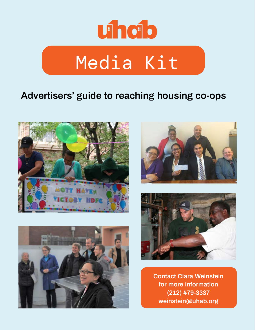

#### **Advertisers' guide to reaching housing co-ops**









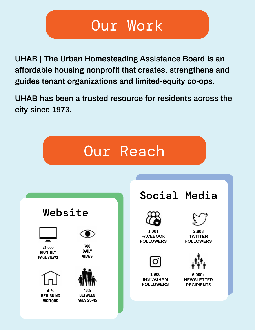#### Our Work

**UHAB | The Urban Homesteading Assistance Board is an affordable housing nonprofit that creates, strengthens and guides tenant organizations and limited-equity co-ops.**

**UHAB has been a trusted resource for residents across the city since 1973.** 

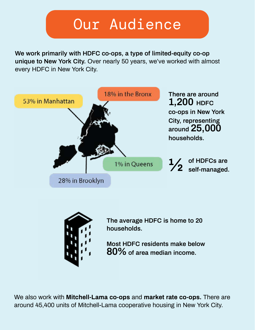# Our Audience

**We work primarily with HDFC co-ops, a type of limited-equity co-op unique to New York City.** Over nearly 50 years, we've worked with almost every HDFC in New York City.





**The average HDFC is home to 20 households.**

**Most HDFC residents make below 80% of area median income.**

We also work with **Mitchell-Lama co-ops** and **market rate co-ops.** There are around 45,400 units of Mitchell-Lama cooperative housing in New York City.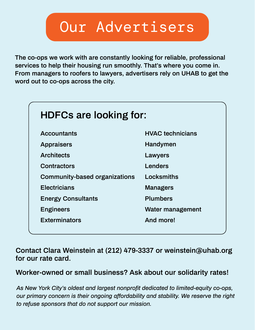### Our Advertisers

**The co-ops we work with are constantly looking for reliable, professional services to help their housing run smoothly. That's where you come in. From managers to roofers to lawyers, advertisers rely on UHAB to get the word out to co-ops across the city.**

| <b>HDFCs are looking for:</b>        |                         |  |  |  |  |
|--------------------------------------|-------------------------|--|--|--|--|
| <b>Accountants</b>                   | <b>HVAC</b> technicians |  |  |  |  |
| <b>Appraisers</b>                    | <b>Handymen</b>         |  |  |  |  |
| <b>Architects</b>                    | Lawyers                 |  |  |  |  |
| <b>Contractors</b>                   | <b>Lenders</b>          |  |  |  |  |
| <b>Community-based organizations</b> | Locksmiths              |  |  |  |  |
| <b>Electricians</b>                  | <b>Managers</b>         |  |  |  |  |
| <b>Energy Consultants</b>            | <b>Plumbers</b>         |  |  |  |  |
| <b>Engineers</b>                     | Water management        |  |  |  |  |
| <b>Exterminators</b>                 | And more!               |  |  |  |  |
|                                      |                         |  |  |  |  |

**Contact Clara Weinstein at (212) 479-3337 or weinstein@uhab.org for our rate card.**

**Worker-owned or small business? Ask about our solidarity rates!**

*As New York City's oldest and largest nonprofit dedicated to limited-equity co-ops, our primary concern is their ongoing affordability and stability. We reserve the right to refuse sponsors that do not support our mission.*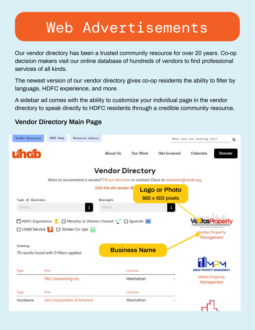# Web Advertisements

Our vendor directory has been a trusted community resource for over 20 years. Co-op decision makers visit our online database of hundreds of vendors to find professional services of all kinds.

The newest version of our vendor directory gives co-op residents the ability to filter by language, HDFC experience, and more.

A sidebar ad comes with the ability to customize your individual page in the vendor directory to speak directly to HDFC residents through a credible community resource.

#### **Vendor Directory Main Page**

| Vendor Directory | Resource Library<br>HDFC Help                                                          |                         |                      |                      | What are you looking for?                                     | $\alpha$ |
|------------------|----------------------------------------------------------------------------------------|-------------------------|----------------------|----------------------|---------------------------------------------------------------|----------|
| uhab             |                                                                                        | About Us                | Our Work             | <b>Get Involved</b>  | Calendar                                                      | Donate   |
|                  |                                                                                        | <b>Vendor Directory</b> |                      |                      |                                                               |          |
|                  | Want to recommend a vendor? Fill out this form or contact Clara at weinstein@uhab.org. |                         |                      |                      |                                                               |          |
|                  |                                                                                        | Visit the old vendor di |                      | <b>Logo or Photo</b> |                                                               |          |
| Type of Business |                                                                                        | Boroughs                |                      | 860 x 500 pixels     |                                                               |          |
| Select.          |                                                                                        | Select                  |                      | ч                    |                                                               |          |
| UHAB Service     | Worker Co-ops (44)                                                                     |                         |                      |                      | <b>REAL ESTATE SERVICES</b><br>Veritas Property<br>Management |          |
| Viewing          | 70 results found with 0 filters applied                                                |                         | <b>Business Name</b> |                      |                                                               |          |
| Type             | Firm                                                                                   |                         | Location             |                      | <b>MIDAS PROPERTY MANAGEMENT</b>                              |          |
|                  | 786 Contracting Inc.                                                                   |                         | Manhattan            |                      | <b>Midas Property</b><br>Management                           |          |
| Type             | Firm                                                                                   |                         | Location             |                      |                                                               |          |
| Hardware         | <b>JAD Corporation of America</b>                                                      |                         | Manhattan            |                      |                                                               |          |

П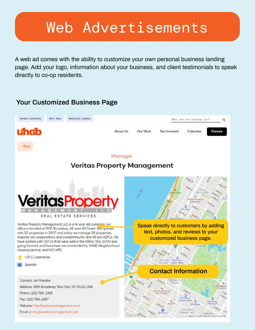### Web Advertisements

A web ad comes with the ability to customize your own personal business landing page. Add your logo, information about your business, and client testimonials to speak directly to co-op residents.

#### **Your Customized Business Page**

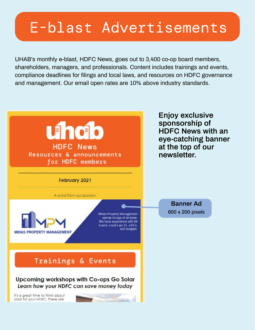# E-blast Advertisements

UHAB's monthly e-blast, HDFC News, goes out to 3,400 co-op board members, shareholders, managers, and professionals. Content includes trainings and events, compliance deadlines for filings and local laws, and resources on HDFC governance and management. Our email open rates are 10% above industry standards.